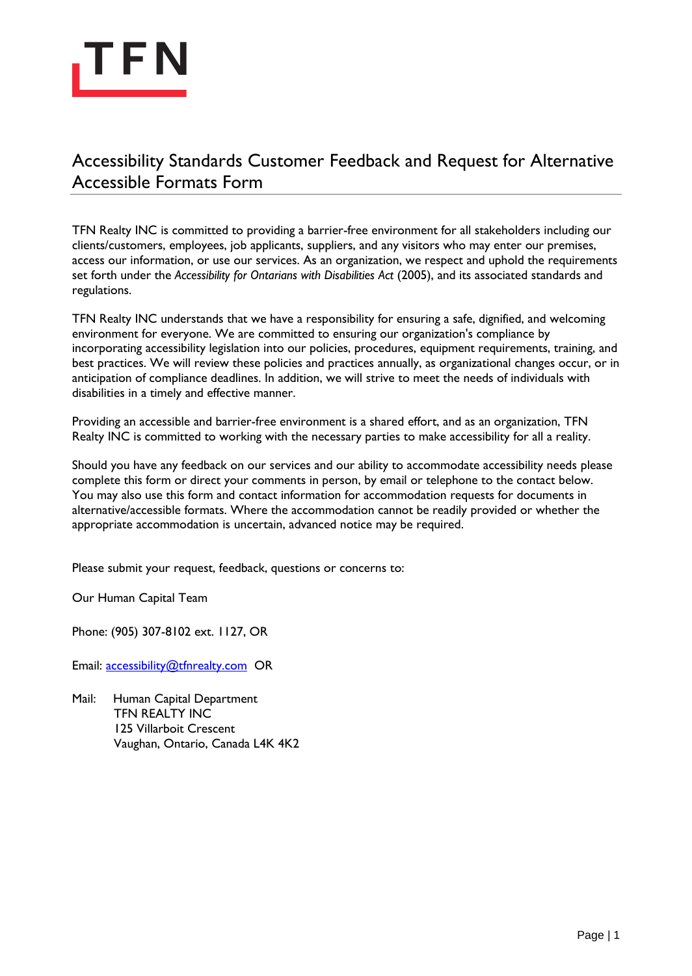

## Accessibility Standards Customer Feedback and Request for Alternative Accessible Formats Form

TFN Realty INC is committed to providing a barrier-free environment for all stakeholders including our clients/customers, employees, job applicants, suppliers, and any visitors who may enter our premises, access our information, or use our services. As an organization, we respect and uphold the requirements set forth under the *Accessibility for Ontarians with Disabilities Act* (2005), and its associated standards and regulations.

TFN Realty INC understands that we have a responsibility for ensuring a safe, dignified, and welcoming environment for everyone. We are committed to ensuring our organization's compliance by incorporating accessibility legislation into our policies, procedures, equipment requirements, training, and best practices. We will review these policies and practices annually, as organizational changes occur, or in anticipation of compliance deadlines. In addition, we will strive to meet the needs of individuals with disabilities in a timely and effective manner.

Providing an accessible and barrier-free environment is a shared effort, and as an organization, TFN Realty INC is committed to working with the necessary parties to make accessibility for all a reality.

Should you have any feedback on our services and our ability to accommodate accessibility needs please complete this form or direct your comments in person, by email or telephone to the contact below. You may also use this form and contact information for accommodation requests for documents in alternative/accessible formats. Where the accommodation cannot be readily provided or whether the appropriate accommodation is uncertain, advanced notice may be required.

Please submit your request, feedback, questions or concerns to:

Our Human Capital Team

Phone: (905) 307-8102 ext. 1127, OR

Email: [accessibility@tfnrealty.com](mailto:accessibility@tfnrealty.com) OR

Mail: Human Capital Department TFN REALTY INC 125 Villarboit Crescent Vaughan, Ontario, Canada L4K 4K2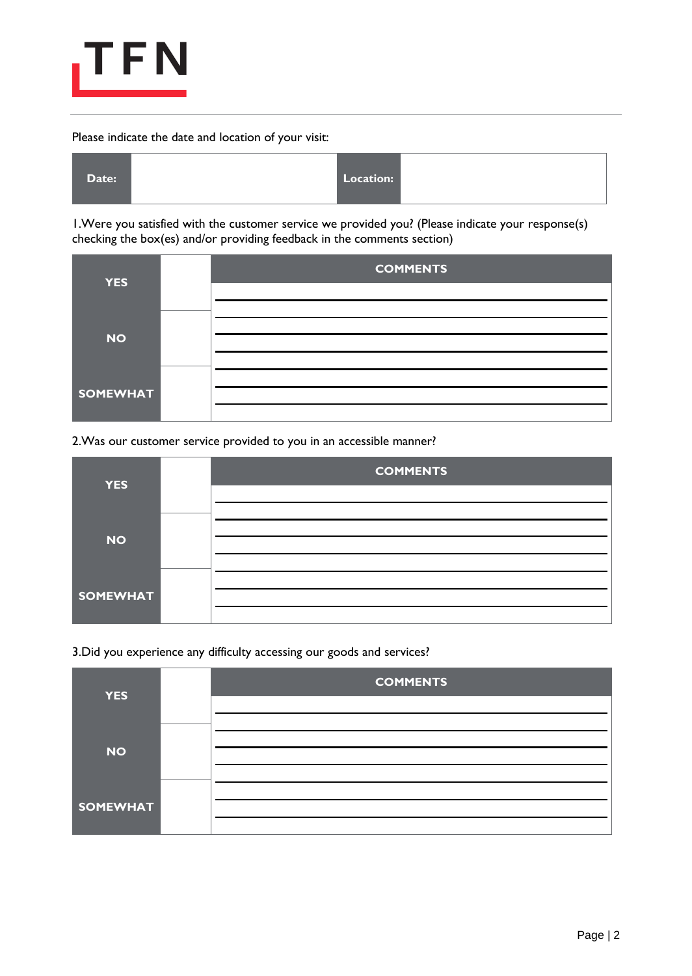

## Please indicate the date and location of your visit:



1.Were you satisfied with the customer service we provided you? (Please indicate your response(s) checking the box(es) and/or providing feedback in the comments section)

| <b>YES</b>      | <b>COMMENTS</b> |
|-----------------|-----------------|
| <b>NO</b>       |                 |
| <b>SOMEWHAT</b> |                 |

2.Was our customer service provided to you in an accessible manner?

| <b>YES</b>      |  | <b>COMMENTS</b> |  |  |
|-----------------|--|-----------------|--|--|
|                 |  |                 |  |  |
| <b>NO</b>       |  |                 |  |  |
|                 |  |                 |  |  |
| <b>SOMEWHAT</b> |  |                 |  |  |
|                 |  |                 |  |  |

3.Did you experience any difficulty accessing our goods and services?

| <b>YES</b>      | <b>COMMENTS</b> |
|-----------------|-----------------|
|                 |                 |
| <b>NO</b>       |                 |
|                 |                 |
| <b>SOMEWHAT</b> |                 |
|                 |                 |